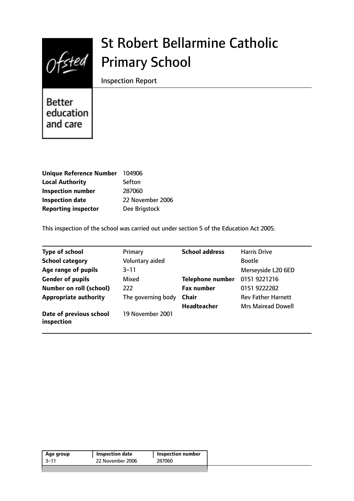

# St Robert Bellarmine Catholic Primary School

Inspection Report

**Better** education and care

| Unique Reference Number 104906 |                  |
|--------------------------------|------------------|
| <b>Local Authority</b>         | Sefton           |
| <b>Inspection number</b>       | 287060           |
| <b>Inspection date</b>         | 22 November 2006 |
| <b>Reporting inspector</b>     | Dee Brigstock    |

This inspection of the school was carried out under section 5 of the Education Act 2005.

| <b>Type of school</b>                 | Primary            | <b>School address</b>   | <b>Harris Drive</b>       |
|---------------------------------------|--------------------|-------------------------|---------------------------|
| <b>School category</b>                | Voluntary aided    |                         | <b>Bootle</b>             |
| Age range of pupils                   | $3 - 11$           |                         | Merseyside L20 6ED        |
| <b>Gender of pupils</b>               | Mixed              | <b>Telephone number</b> | 0151 9221216              |
| <b>Number on roll (school)</b>        | 222                | <b>Fax number</b>       | 0151 9222282              |
| <b>Appropriate authority</b>          | The governing body | <b>Chair</b>            | <b>Rev Father Harnett</b> |
|                                       |                    | <b>Headteacher</b>      | <b>Mrs Mairead Dowell</b> |
| Date of previous school<br>inspection | 19 November 2001   |                         |                           |

| Age group | Inspection date  | Inspection number |
|-----------|------------------|-------------------|
| -3–11     | 22 November 2006 | 287060            |
|           |                  |                   |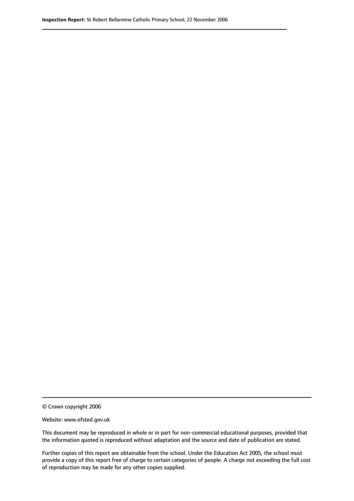© Crown copyright 2006

Website: www.ofsted.gov.uk

This document may be reproduced in whole or in part for non-commercial educational purposes, provided that the information quoted is reproduced without adaptation and the source and date of publication are stated.

Further copies of this report are obtainable from the school. Under the Education Act 2005, the school must provide a copy of this report free of charge to certain categories of people. A charge not exceeding the full cost of reproduction may be made for any other copies supplied.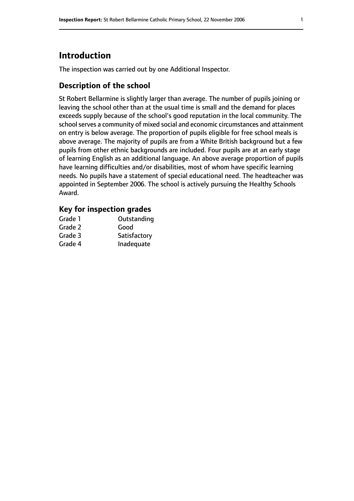# **Introduction**

The inspection was carried out by one Additional Inspector.

# **Description of the school**

St Robert Bellarmine is slightly larger than average. The number of pupils joining or leaving the school other than at the usual time is small and the demand for places exceeds supply because of the school's good reputation in the local community. The school serves a community of mixed social and economic circumstances and attainment on entry is below average. The proportion of pupils eligible for free school meals is above average. The majority of pupils are from a White British background but a few pupils from other ethnic backgrounds are included. Four pupils are at an early stage of learning English as an additional language. An above average proportion of pupils have learning difficulties and/or disabilities, most of whom have specific learning needs. No pupils have a statement of special educational need. The headteacher was appointed in September 2006. The school is actively pursuing the Healthy Schools Award.

### **Key for inspection grades**

| Grade 1 | Outstanding  |
|---------|--------------|
| Grade 2 | Good         |
| Grade 3 | Satisfactory |
| Grade 4 | Inadequate   |
|         |              |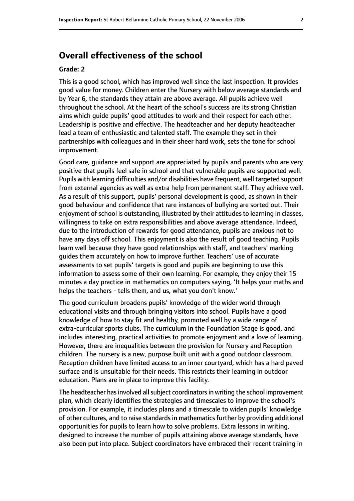# **Overall effectiveness of the school**

#### **Grade: 2**

This is a good school, which has improved well since the last inspection. It provides good value for money. Children enter the Nursery with below average standards and by Year 6, the standards they attain are above average. All pupils achieve well throughout the school. At the heart of the school's success are its strong Christian aims which guide pupils' good attitudes to work and their respect for each other. Leadership is positive and effective. The headteacher and her deputy headteacher lead a team of enthusiastic and talented staff. The example they set in their partnerships with colleagues and in their sheer hard work, sets the tone for school improvement.

Good care, guidance and support are appreciated by pupils and parents who are very positive that pupils feel safe in school and that vulnerable pupils are supported well. Pupils with learning difficulties and/or disabilities have frequent, well targeted support from external agencies as well as extra help from permanent staff. They achieve well. As a result of this support, pupils' personal development is good, as shown in their good behaviour and confidence that rare instances of bullying are sorted out. Their enjoyment of school is outstanding, illustrated by their attitudes to learning in classes, willingness to take on extra responsibilities and above average attendance. Indeed, due to the introduction of rewards for good attendance, pupils are anxious not to have any days off school. This enjoyment is also the result of good teaching. Pupils learn well because they have good relationships with staff, and teachers' marking guides them accurately on how to improve further. Teachers' use of accurate assessments to set pupils' targets is good and pupils are beginning to use this information to assess some of their own learning. For example, they enjoy their 15 minutes a day practice in mathematics on computers saying, 'It helps your maths and helps the teachers - tells them, and us, what you don't know.'

The good curriculum broadens pupils' knowledge of the wider world through educational visits and through bringing visitors into school. Pupils have a good knowledge of how to stay fit and healthy, promoted well by a wide range of extra-curricular sports clubs. The curriculum in the Foundation Stage is good, and includes interesting, practical activities to promote enjoyment and a love of learning. However, there are inequalities between the provision for Nursery and Reception children. The nursery is a new, purpose built unit with a good outdoor classroom. Reception children have limited access to an inner courtyard, which has a hard paved surface and is unsuitable for their needs. This restricts their learning in outdoor education. Plans are in place to improve this facility.

The headteacher has involved all subject coordinators in writing the school improvement plan, which clearly identifies the strategies and timescales to improve the school's provision. For example, it includes plans and a timescale to widen pupils' knowledge of other cultures, and to raise standards in mathematics further by providing additional opportunities for pupils to learn how to solve problems. Extra lessons in writing, designed to increase the number of pupils attaining above average standards, have also been put into place. Subject coordinators have embraced their recent training in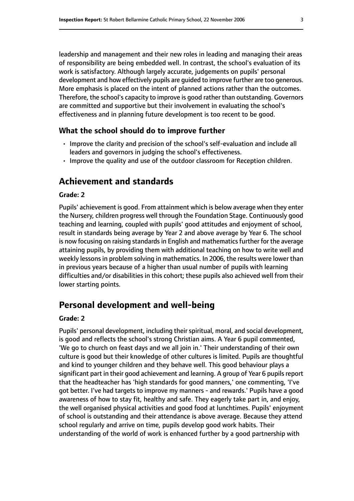leadership and management and their new roles in leading and managing their areas of responsibility are being embedded well. In contrast, the school's evaluation of its work is satisfactory. Although largely accurate, judgements on pupils' personal development and how effectively pupils are guided to improve further are too generous. More emphasis is placed on the intent of planned actions rather than the outcomes. Therefore, the school's capacity to improve is good rather than outstanding. Governors are committed and supportive but their involvement in evaluating the school's effectiveness and in planning future development is too recent to be good.

#### **What the school should do to improve further**

- Improve the clarity and precision of the school's self-evaluation and include all leaders and governors in judging the school's effectiveness.
- Improve the quality and use of the outdoor classroom for Reception children.

# **Achievement and standards**

#### **Grade: 2**

Pupils' achievement is good. From attainment which is below average when they enter the Nursery, children progress well through the Foundation Stage. Continuously good teaching and learning, coupled with pupils' good attitudes and enjoyment of school, result in standards being average by Year 2 and above average by Year 6. The school is now focusing on raising standards in English and mathematics further for the average attaining pupils, by providing them with additional teaching on how to write well and weekly lessons in problem solving in mathematics. In 2006, the results were lower than in previous years because of a higher than usual number of pupils with learning difficulties and/or disabilities in this cohort; these pupils also achieved well from their lower starting points.

# **Personal development and well-being**

#### **Grade: 2**

Pupils' personal development, including their spiritual, moral, and social development, is good and reflects the school's strong Christian aims. A Year 6 pupil commented, 'We go to church on feast days and we all join in.' Their understanding of their own culture is good but their knowledge of other cultures is limited. Pupils are thoughtful and kind to younger children and they behave well. This good behaviour plays a significant part in their good achievement and learning. A group of Year 6 pupils report that the headteacher has 'high standards for good manners,' one commenting, 'I've got better. I've had targets to improve my manners - and rewards.' Pupils have a good awareness of how to stay fit, healthy and safe. They eagerly take part in, and enjoy, the well organised physical activities and good food at lunchtimes. Pupils' enjoyment of school is outstanding and their attendance is above average. Because they attend school regularly and arrive on time, pupils develop good work habits. Their understanding of the world of work is enhanced further by a good partnership with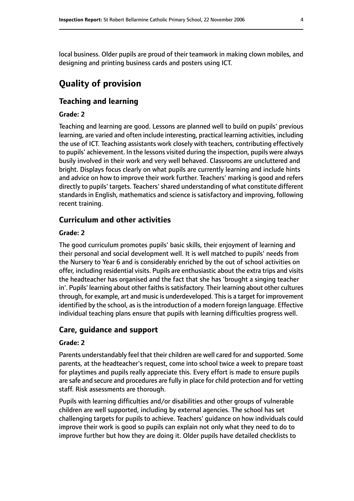local business. Older pupils are proud of their teamwork in making clown mobiles, and designing and printing business cards and posters using ICT.

# **Quality of provision**

### **Teaching and learning**

#### **Grade: 2**

Teaching and learning are good. Lessons are planned well to build on pupils' previous learning, are varied and often include interesting, practical learning activities, including the use of ICT. Teaching assistants work closely with teachers, contributing effectively to pupils' achievement. In the lessons visited during the inspection, pupils were always busily involved in their work and very well behaved. Classrooms are uncluttered and bright. Displays focus clearly on what pupils are currently learning and include hints and advice on how to improve their work further. Teachers' marking is good and refers directly to pupils' targets. Teachers' shared understanding of what constitute different standards in English, mathematics and science is satisfactory and improving, following recent training.

#### **Curriculum and other activities**

#### **Grade: 2**

The good curriculum promotes pupils' basic skills, their enjoyment of learning and their personal and social development well. It is well matched to pupils' needs from the Nursery to Year 6 and is considerably enriched by the out of school activities on offer, including residential visits. Pupils are enthusiastic about the extra trips and visits the headteacher has organised and the fact that she has 'brought a singing teacher in'. Pupils' learning about other faiths is satisfactory. Their learning about other cultures through, for example, art and music is underdeveloped. This is a target for improvement identified by the school, as is the introduction of a modern foreign language. Effective individual teaching plans ensure that pupils with learning difficulties progress well.

#### **Care, guidance and support**

#### **Grade: 2**

Parents understandably feel that their children are well cared for and supported. Some parents, at the headteacher's request, come into school twice a week to prepare toast for playtimes and pupils really appreciate this. Every effort is made to ensure pupils are safe and secure and procedures are fully in place for child protection and for vetting staff. Risk assessments are thorough.

Pupils with learning difficulties and/or disabilities and other groups of vulnerable children are well supported, including by external agencies. The school has set challenging targets for pupils to achieve. Teachers' guidance on how individuals could improve their work is good so pupils can explain not only what they need to do to improve further but how they are doing it. Older pupils have detailed checklists to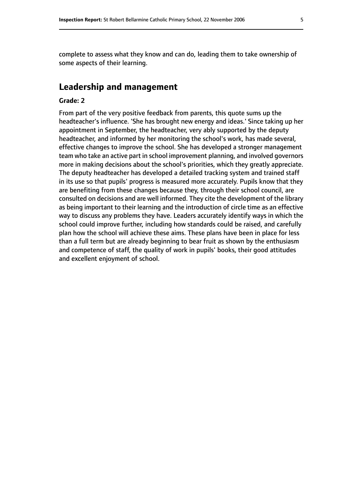complete to assess what they know and can do, leading them to take ownership of some aspects of their learning.

### **Leadership and management**

#### **Grade: 2**

From part of the very positive feedback from parents, this quote sums up the headteacher's influence. 'She has brought new energy and ideas.' Since taking up her appointment in September, the headteacher, very ably supported by the deputy headteacher, and informed by her monitoring the school's work, has made several, effective changes to improve the school. She has developed a stronger management team who take an active part in school improvement planning, and involved governors more in making decisions about the school's priorities, which they greatly appreciate. The deputy headteacher has developed a detailed tracking system and trained staff in its use so that pupils' progress is measured more accurately. Pupils know that they are benefiting from these changes because they, through their school council, are consulted on decisions and are well informed. They cite the development of the library as being important to their learning and the introduction of circle time as an effective way to discuss any problems they have. Leaders accurately identify ways in which the school could improve further, including how standards could be raised, and carefully plan how the school will achieve these aims. These plans have been in place for less than a full term but are already beginning to bear fruit as shown by the enthusiasm and competence of staff, the quality of work in pupils' books, their good attitudes and excellent enjoyment of school.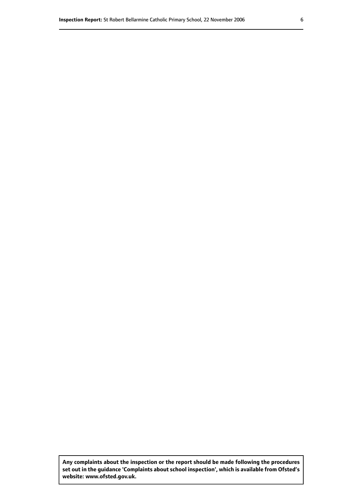**Any complaints about the inspection or the report should be made following the procedures set out inthe guidance 'Complaints about school inspection', whichis available from Ofsted's website: www.ofsted.gov.uk.**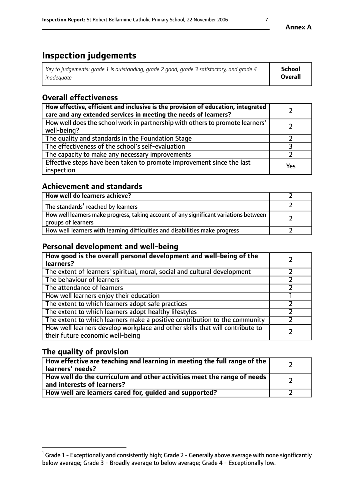# **Inspection judgements**

| Key to judgements: grade 1 is outstanding, grade 2 good, grade 3 satisfactory, and grade 4 | School         |
|--------------------------------------------------------------------------------------------|----------------|
| inadeauate                                                                                 | <b>Overall</b> |

# **Overall effectiveness**

| How effective, efficient and inclusive is the provision of education, integrated<br>care and any extended services in meeting the needs of learners? |     |
|------------------------------------------------------------------------------------------------------------------------------------------------------|-----|
| How well does the school work in partnership with others to promote learners'<br>well-being?                                                         |     |
| The quality and standards in the Foundation Stage                                                                                                    |     |
| The effectiveness of the school's self-evaluation                                                                                                    |     |
| The capacity to make any necessary improvements                                                                                                      |     |
| Effective steps have been taken to promote improvement since the last<br>inspection                                                                  | Yes |

# **Achievement and standards**

| How well do learners achieve?                                                                               |  |
|-------------------------------------------------------------------------------------------------------------|--|
| The standards <sup>1</sup> reached by learners                                                              |  |
| How well learners make progress, taking account of any significant variations between<br>groups of learners |  |
| How well learners with learning difficulties and disabilities make progress                                 |  |

# **Personal development and well-being**

| How good is the overall personal development and well-being of the<br>learners?                                  |  |
|------------------------------------------------------------------------------------------------------------------|--|
| The extent of learners' spiritual, moral, social and cultural development                                        |  |
| The behaviour of learners                                                                                        |  |
| The attendance of learners                                                                                       |  |
| How well learners enjoy their education                                                                          |  |
| The extent to which learners adopt safe practices                                                                |  |
| The extent to which learners adopt healthy lifestyles                                                            |  |
| The extent to which learners make a positive contribution to the community                                       |  |
| How well learners develop workplace and other skills that will contribute to<br>their future economic well-being |  |

# **The quality of provision**

| How effective are teaching and learning in meeting the full range of the<br>learners' needs?          |  |
|-------------------------------------------------------------------------------------------------------|--|
| How well do the curriculum and other activities meet the range of needs<br>and interests of learners? |  |
| How well are learners cared for, guided and supported?                                                |  |

### **Annex A**

 $^1$  Grade 1 - Exceptionally and consistently high; Grade 2 - Generally above average with none significantly below average; Grade 3 - Broadly average to below average; Grade 4 - Exceptionally low.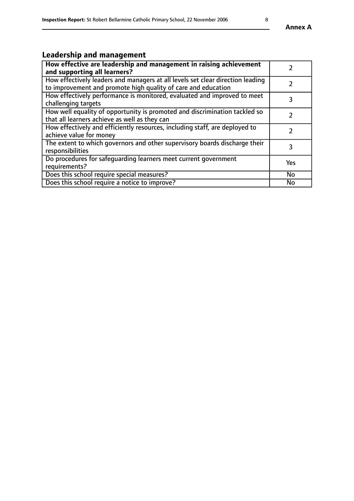# **Leadership and management**

| How effective are leadership and management in raising achievement<br>and supporting all learners?                                              |               |
|-------------------------------------------------------------------------------------------------------------------------------------------------|---------------|
| How effectively leaders and managers at all levels set clear direction leading<br>to improvement and promote high quality of care and education |               |
| How effectively performance is monitored, evaluated and improved to meet<br>challenging targets                                                 | 3             |
| How well equality of opportunity is promoted and discrimination tackled so<br>that all learners achieve as well as they can                     |               |
| How effectively and efficiently resources, including staff, are deployed to<br>achieve value for money                                          | $\mathcal{P}$ |
| The extent to which governors and other supervisory boards discharge their<br>responsibilities                                                  | 3             |
| Do procedures for safeguarding learners meet current government<br>requirements?                                                                | Yes           |
| Does this school require special measures?                                                                                                      | <b>No</b>     |
| Does this school require a notice to improve?                                                                                                   | <b>No</b>     |